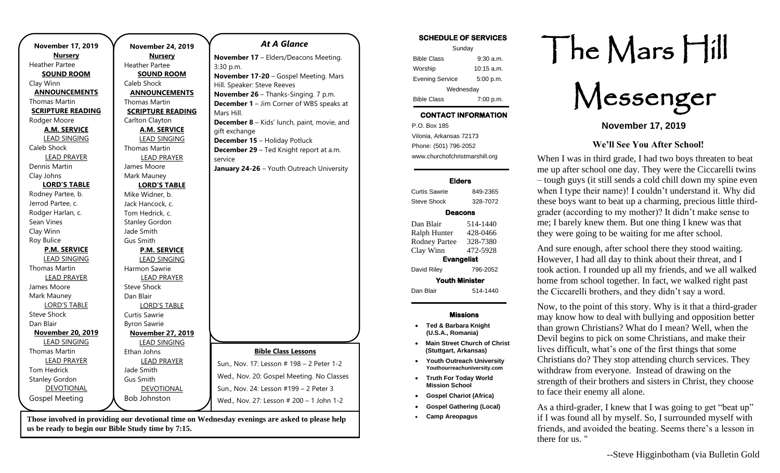| <b>November 17, 2019</b> | <b>November 24, 2019</b> | <b>At A Glance</b>                              |
|--------------------------|--------------------------|-------------------------------------------------|
| <b>Nursery</b>           | <b>Nursery</b>           | November 17 - Elders/Deacons Meeting.           |
| <b>Heather Partee</b>    | <b>Heather Partee</b>    | 3:30 p.m.                                       |
| <b>SOUND ROOM</b>        | <b>SOUND ROOM</b>        | November 17-20 - Gospel Meeting. Mars           |
| Clay Winn                | Caleb Shock              | Hill. Speaker: Steve Reeves                     |
| <b>ANNOUNCEMENTS</b>     | <b>ANNOUNCEMENTS</b>     | November 26 - Thanks-Singing. 7 p.m.            |
| <b>Thomas Martin</b>     | <b>Thomas Martin</b>     | <b>December 1</b> - Jim Corner of WBS speaks at |
| <b>SCRIPTURE READING</b> | <b>SCRIPTURE READING</b> | Mars Hill.                                      |
| Rodger Moore             | Carlton Clayton          | December 8 - Kids' lunch, paint, movie, and     |
| <b>A.M. SERVICE</b>      | <b>A.M. SERVICE</b>      | gift exchange                                   |
| <b>LEAD SINGING</b>      | <b>LEAD SINGING</b>      | <b>December 15 - Holiday Potluck</b>            |
| Caleb Shock              | <b>Thomas Martin</b>     | December 29 - Ted Knight report at a.m.         |
| <b>LEAD PRAYER</b>       | <b>LEAD PRAYER</b>       | service                                         |
| Dennis Martin            | James Moore              | January 24-26 - Youth Outreach University       |
| Clay Johns               | Mark Mauney              |                                                 |
| <b>LORD'S TABLE</b>      | <b>LORD'S TABLE</b>      |                                                 |
| Rodney Partee, b.        | Mike Widner, b.          |                                                 |
| Jerrod Partee, c.        | Jack Hancock, c.         |                                                 |
| Rodger Harlan, c.        | Tom Hedrick, c.          |                                                 |
| Sean Vines               | <b>Stanley Gordon</b>    |                                                 |
| Clay Winn                | Jade Smith               |                                                 |
| Roy Bulice               | <b>Gus Smith</b>         |                                                 |
| <b>P.M. SERVICE</b>      | <b>P.M. SERVICE</b>      |                                                 |
| <b>LEAD SINGING</b>      | <b>LEAD SINGING</b>      |                                                 |
| <b>Thomas Martin</b>     | Harmon Sawrie            |                                                 |
| <b>LEAD PRAYER</b>       | <b>LEAD PRAYER</b>       |                                                 |
| James Moore              | Steve Shock              |                                                 |
| Mark Mauney              | Dan Blair                |                                                 |
| <b>LORD'S TABLE</b>      | <b>LORD'S TABLE</b>      |                                                 |
| <b>Steve Shock</b>       | Curtis Sawrie            |                                                 |
| Dan Blair                | <b>Byron Sawrie</b>      |                                                 |
| <b>November 20, 2019</b> | <b>November 27, 2019</b> |                                                 |
| <b>LEAD SINGING</b>      | <b>LEAD SINGING</b>      |                                                 |
| <b>Thomas Martin</b>     | Ethan Johns              | <b>Bible Class Lessons</b>                      |
| <b>LEAD PRAYER</b>       | <b>LEAD PRAYER</b>       | Sun., Nov. 17: Lesson # 198 - 2 Peter 1-2       |
| <b>Tom Hedrick</b>       | Jade Smith               | Wed., Nov. 20: Gospel Meeting. No Classes       |
| <b>Stanley Gordon</b>    | <b>Gus Smith</b>         |                                                 |
| DEVOTIONAL               | DEVOTIONAL               | Sun., Nov. 24: Lesson #199 - 2 Peter 3          |
| <b>Gospel Meeting</b>    | <b>Bob Johnston</b>      | Wed., Nov. 27: Lesson # 200 - 1 John 1-2        |
|                          |                          |                                                 |

**Those involved in providing our devotional time on Wednesday evenings are asked to please help us be ready to begin our Bible Study time by 7:15.** 

## **SCHEDULE OF SERVICES**  Sunday Bible Class 9:30 a.m. Worship 10:15 a.m. Evening Service 5:00 p.m. Wednesday Bible Class 7:00 p.m.

# **CONTACT INFORMATION**

. .o. Box 166<br>Vilonia, Arkansas 72173 P.O. Box 185 Phone: (501) 796-2052 www.churchofchristmarshill.org

#### **Elders**

Curtis Sawrie 849-2365 Steve Shock 328-7072 **Deacons**  Dan Blair 514-1440 Ralph Hunter 428-0466 Rodney Partee 328-7380 Clay Winn 472-5928 **Evangelist**  David Riley 796-2052 **Youth Minister**  Dan Blair 514-1440

### **Missions**

- **Ted & Barbara Knight (U.S.A., Romania)**
- **Main Street Church of Christ (Stuttgart, Arkansas)**
- **Youth Outreach University Youthourreachuniversity.com**
- **Truth For Today World Mission School**
- **Gospel Chariot (Africa)**
- **Gospel Gathering (Local)**
- **Camp Areopagus**

# The Mars Hill

Messenger

**November 17, 2019**

## **We'll See You After School!**

When I was in third grade, I had two boys threaten to beat me up after school one day. They were the Ciccarelli twins – tough guys (it still sends a cold chill down my spine even when I type their name)! I couldn't understand it. Why did these boys want to beat up a charming, precious little thirdgrader (according to my mother)? It didn't make sense to me; I barely knew them. But one thing I knew was that they were going to be waiting for me after school.

And sure enough, after school there they stood waiting. However, I had all day to think about their threat, and I took action. I rounded up all my friends, and we all walked home from school together. In fact, we walked right past the Ciccarelli brothers, and they didn't say a word.

Now, to the point of this story. Why is it that a third-grader may know how to deal with bullying and opposition better than grown Christians? What do I mean? Well, when the Devil begins to pick on some Christians, and make their lives difficult, what's one of the first things that some Christians do? They stop attending church services. They withdraw from everyone. Instead of drawing on the strength of their brothers and sisters in Christ, they choose to face their enemy all alone.

As a third-grader, I knew that I was going to get "beat up" if I was found all by myself. So, I surrounded myself with friends, and avoided the beating. Seems there's a lesson in there for us. "